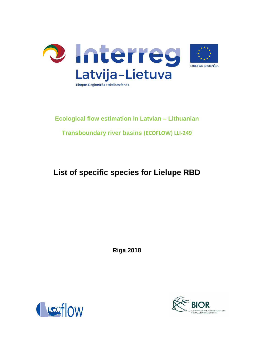

# **Ecological flow estimation in Latvian – Lithuanian**

**Transboundary river basins (ECOFLOW) LLI-249**

## **List of specific species for Lielupe RBD**

**Riga 2018**



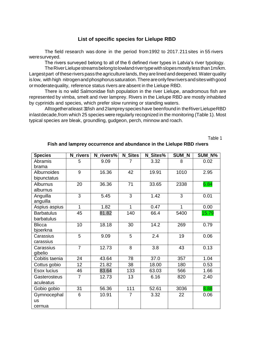#### **List of specific species for Lielupe RBD**

The field research was done in the period from1992 to 2017.211sites in 55 rivers weresurveyed.

The rivers surveyed belong to all of the 6 defined river types in Latvia's river typology.

The River Lielupe streams belong to lowland river type with slopes mostly less than 1m/km. Largest part of these rivers pass the agriculture lands, they are lined and deepened. Water quality is low, with high nitrogen and phosphorus saturation. There are only few rivers and sites with good ormoderatequality, reference status rivers are absent in the Lielupe RBD.

There is no wild Salmonidae fish population in the river Lielupe, anadromous fish are represented by vimba, smelt and river lamprey. Rivers in the Lielupe RBD are mostly inhabited by cyprinids and species, which prefer slow running or standing waters.

Alltogetheratleast 31fish and2lampreyspecieshave beenfound in theRiverLielupeRBD inlastdecade,from which 25 species were regularly recognized in the monitoring (Table 1). Most typical species are bleak, groundling, gudgeon, perch, minnow and roach.

Table 1

| <b>Species</b>    | <b>N</b> rivers | N rivers% | <b>N</b> Sites | N Sites% | <b>SUM N</b>   | SUM_N% |
|-------------------|-----------------|-----------|----------------|----------|----------------|--------|
| Abramis           | 5               | 9.09      | 7              | 3.32     | 8              | 0.02   |
| brama             |                 |           |                |          |                |        |
| Alburnoides       | 9               | 16.36     | 42             | 19.91    | 1010           | 2.95   |
| bipunctatus       |                 |           |                |          |                |        |
| Alburnus          | 20              | 36.36     | 71             | 33.65    | 2338           | 6.84   |
| alburnus          |                 |           |                |          |                |        |
| Anguilla          | $\overline{3}$  | 5.45      | $\overline{3}$ | 1.42     | $\overline{3}$ | 0.01   |
| anguilla          |                 |           |                |          |                |        |
| Aspius aspius     | 1               | 1.82      | 1              | 0.47     | 1              | 0.00   |
| <b>Barbatulus</b> | 45              | 81.82     | 140            | 66.4     | 5400           | 15.79  |
| barbatulus        |                 |           |                |          |                |        |
| <b>Blicca</b>     | 10              | 18.18     | 30             | 14.2     | 269            | 0.79   |
| bjoerkna          |                 |           |                |          |                |        |
| Carassius         | 5               | 9.09      | 5              | 2.4      | 19             | 0.06   |
| carassius         |                 |           |                |          |                |        |
| Carassius         | $\overline{7}$  | 12.73     | 8              | 3.8      | 43             | 0.13   |
| gibelio           |                 |           |                |          |                |        |
| Cobitis taenia    | 24              | 43.64     | 78             | 37.0     | 357            | 1.04   |
| Cottus gobio      | 12              | 21.82     | 38             | 18.00    | 180            | 0.53   |
| Esox lucius       | 46              | 83.64     | 133            | 63.03    | 566            | 1.66   |
| Gasterosteus      | $\overline{7}$  | 12.73     | 13             | 6.16     | 820            | 2.40   |
| aculeatus         |                 |           |                |          |                |        |
| Gobio gobio       | 31              | 56.36     | 111            | 52.61    | 3036           | 8.88   |
| Gymnocephal       | 6               | 10.91     | $\overline{7}$ | 3.32     | 22             | 0.06   |
| <b>us</b>         |                 |           |                |          |                |        |
| cernua            |                 |           |                |          |                |        |

#### **Fish and lamprey occurrence and abundance in the Lielupe RBD rivers**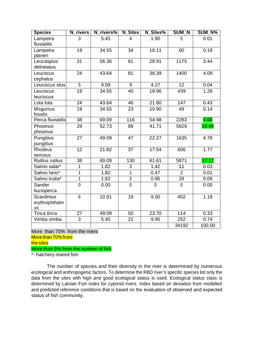| <b>Species</b>                                   | N_rivers        | N rivers% | <b>N</b> Sites | N Sites%    | <b>SUM N</b>    | <b>SUM N%</b> |
|--------------------------------------------------|-----------------|-----------|----------------|-------------|-----------------|---------------|
| Lampetra<br>fluviatilis                          | 3               | 5.45      | 4              | 1.90        | 5               | 0.01          |
| Lampetra<br>planeri                              | 19              | 34.55     | 34             | 16.11       | 60              | 0.18          |
| Leucaspius<br>delineatus                         | 31              | 56.36     | 61             | 28.91       | 1175            | 3.44          |
| Leuciscus<br>cephalus                            | 24              | 43.64     | 81             | 38.39       | 1400            | 4.09          |
| Leuciscus idus                                   | $\overline{5}$  | 9.09      | $\overline{9}$ | 4.27        | 12              | 0.04          |
| Leuciscus<br>leuciscus                           | 19              | 34.55     | 40             | 18.96       | 439             | 1.28          |
| Lota lota                                        | 24              | 43.64     | 46             | 21.80       | 147             | 0.43          |
| Misgurnus<br>fossilis                            | $\overline{19}$ | 34.55     | 23             | 10.90       | 49              | 0.14          |
| Perca fluviatilis                                | $\overline{38}$ | 69.09     | 116            | 54.98       | 2283            | 6.68          |
| Phoxinus<br>phoxinus                             | 29              | 52.73     | 88             | 41.71       | 5629            | 16.46         |
| Pungitius<br>pungitius                           | 27              | 49.09     | 47             | 22.27       | 1635            | 4.78          |
| <b>Rhodeus</b><br>sericeus                       | 12              | 21.82     | 37             | 17.54       | 606             | 1.77          |
| <b>Rutilus rutilus</b>                           | $\overline{38}$ | 69.09     | 130            | 61.61       | 5871            | 17.17         |
| Salmo salar*                                     | $\overline{1}$  | 1.82      | $\overline{3}$ | 1.42        | $\overline{11}$ | 0.03          |
| Salmo fario*                                     | $\overline{1}$  | 1.82      | $\overline{1}$ | 0.47        | $\overline{2}$  | 0.01          |
| Salmo trutta*                                    | $\overline{1}$  | 1.82      | $\overline{2}$ | 0.95        | 28              | 0.08          |
| Sander<br>liucioperca                            | $\overline{0}$  | 0.00      | $\overline{0}$ | $\mathbf 0$ | 0               | 0.00          |
| <b>Scardinius</b><br>erythrophthalm<br><b>us</b> | 6               | 10.91     | 19             | 9.00        | 402             | 1.18          |
| Tinca tinca                                      | 27              | 49.09     | 50             | 23.70       | 114             | 0.33          |
| Vimba vimba                                      | $\overline{3}$  | 5.45      | 21             | 9.95        | 252             | 0.74          |
|                                                  |                 |           |                |             | 34192           | 100.00        |

More than 70% from the rivers

Morethan70%from

thesites

More than 5% from the number of fish

\*- hatchery reared fish

The number of species and their diversity in the river is determined by numerous ecological and anthropogenic factors. To determine the RBD river's specific species list only the data from the sites with high and good ecological status is used. Ecological status class is determined by Latvian Fish index for cyprinid rivers. Index based on deviation from modelled and predicted reference conditions that is based on the evaluation of observed and expected status of fish community.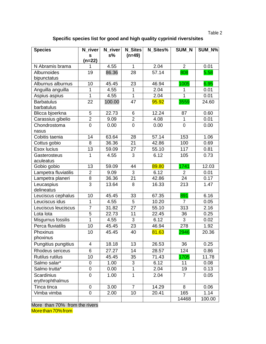| ч. |  |  |
|----|--|--|
|----|--|--|

## **Specific species list for good and high quality cyprinid rivers/sites**

| <b>Species</b>         | $\overline{\mathsf{N}}$ river | N_river | <b>N</b> Sites | N Sites% | <b>SUM N</b>   | SUM N% |
|------------------------|-------------------------------|---------|----------------|----------|----------------|--------|
|                        | s<br>$(n=22)$                 | $s\%$   | $(n=49)$       |          |                |        |
| N Abramis brama        |                               | 4.55    | $\mathbf{1}$   | 2.04     | $\overline{2}$ | 0.01   |
| Alburnoides            | 19                            | 86.36   | 28             | 57.14    | 808            | 5.58   |
| bipunctatus            |                               |         |                |          |                |        |
| Alburnus alburnus      | 10                            | 45.45   | 23             | 46.94    | 1005           | 6.95   |
| Anguilla anguilla      | 1                             | 4.55    | $\mathbf{1}$   | 2.04     | 1              | 0.01   |
| Aspius aspius          | 1                             | 4.55    | $\mathbf{1}$   | 2.04     | $\mathbf{1}$   | 0.01   |
| <b>Barbatulus</b>      | 22                            | 100.00  | 47             | 95.92    | 3559           | 24.60  |
| barbatulus             |                               |         |                |          |                |        |
| Blicca bjoerkna        | $\overline{5}$                | 22.73   | $\overline{6}$ | 12.24    | 87             | 0.60   |
| Carassius gibelio      | $\overline{2}$                | 9.09    | $\overline{2}$ | 4.08     | 1              | 0.01   |
| Chondrostoma           | $\mathbf 0$                   | 0.00    | $\mathbf 0$    | 0.00     | $\mathbf 0$    | 0.00   |
| nasus                  |                               |         |                |          |                |        |
| Cobitis taenia         | 14                            | 63.64   | 28             | 57.14    | 153            | 1.06   |
| Cottus gobio           | 8                             | 36.36   | 21             | 42.86    | 100            | 0.69   |
| <b>Esox lucius</b>     | 13                            | 59.09   | 27             | 55.10    | 117            | 0.81   |
| Gasterosteus           | 1                             | 4.55    | 3              | 6.12     | 105            | 0.73   |
| aculeatus              |                               |         |                |          |                |        |
| Gobio gobio            | 13                            | 59.09   | 44             | 89.80    | 1741           | 12.03  |
| Lampetra fluviatilis   | $\overline{2}$                | 9.09    | $\mathfrak{S}$ | 6.12     | $\overline{2}$ | 0.01   |
| Lampetra planeri       | 8                             | 36.36   | 21             | 42.86    | 24             | 0.17   |
| Leucaspius             | 3                             | 13.64   | 8              | 16.33    | 213            | 1.47   |
| delineatus             |                               |         |                |          |                |        |
| Leuciscus cephalus     | 10                            | 45.45   | 33             | 67.35    | 891            | 6.16   |
| Leuciscus idus         | $\mathbf 1$                   | 4.55    | 5              | 10.20    | $\overline{7}$ | 0.05   |
| Leuciscus leuciscus    | $\overline{7}$                | 31.82   | 27             | 55.10    | 313            | 2.16   |
| Lota lota              | 5                             | 22.73   | 11             | 22.45    | 36             | 0.25   |
| Misgurnus fossilis     | $\mathbf{1}$                  | 4.55    | $\overline{3}$ | 6.12     | 3              | 0.02   |
| Perca fluviatilis      | 10                            | 45.45   | 23             | 46.94    | 278            | 1.92   |
| Phoxinus               | 10                            | 45.45   | 40             | 81.63    | 2946           | 20.36  |
| phoxinus               |                               |         |                |          |                |        |
| Pungitius pungitius    | 4                             | 18.18   | 13             | 26.53    | 36             | 0.25   |
| Rhodeus sericeus       | 6                             | 27.27   | 14             | 28.57    | 124            | 0.86   |
| <b>Rutilus rutilus</b> | 10                            | 45.45   | 35             | 71.43    | 1705           | 11.78  |
| Salmo salar*           | 0                             | 1.00    | 3              | 6.12     | 11             | 0.08   |
| Salmo trutta*          | 0                             | 0.00    | 1              | 2.04     | 19             | 0.13   |
| <b>Scardinius</b>      | $\mathbf 0$                   | 1.00    | 1              | 2.04     | $\overline{7}$ | 0.05   |
| erythrophthalmus       |                               |         |                |          |                |        |
| Tinca tinca            | $\mathbf 0$                   | 3.00    | $\overline{7}$ | 14.29    | 8              | 0.06   |
| Vimba vimba            | 0                             | 2.00    | 10             | 20.41    | 165            | 1.14   |
|                        |                               |         |                |          | 14468          | 100.00 |

More than 70% from the rivers More than 70% from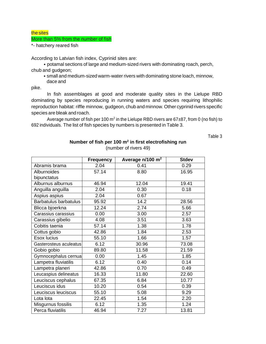#### thesites

#### More than 5% from the number of fish

\*- hatchery reared fish

According to Latvian fish index, Cyprinid sites are:

• potamal sections of large and medium-sized rivers with dominating roach, perch, chub and gudgeon;

• small and medium-sized warm-water rivers with dominating stone loach, minnow, dace and

pike.

In fish assemblages at good and moderate quality sites in the Lielupe RBD dominating by species reproducing in running waters and species requiring lithophilic reproduction habitat: riffle minnow, gudgeon, chub and minnow. Other cyprinid rivers specific species are bleak and roach.

Average number of fish per 100 m<sup>2</sup> in the Lielupe RBD rivers are 67 $\pm$ 87, from 0 (no fish) to 692 individuals. The list of fish species by numbers is presented in Table 3.

Table 3

|                              | <b>Frequency</b> | Average n/100 m <sup>2</sup> | <b>Stdev</b> |
|------------------------------|------------------|------------------------------|--------------|
| Abramis brama                | 2.04             | 0.41                         | 0.29         |
| Alburnoides                  | 57.14            | 8.80                         | 16.95        |
| bipunctatus                  |                  |                              |              |
| Alburnus alburnus            | 46.94            | 12.04                        | 19.41        |
| Anguilla anguilla            | 2.04             | 0.30                         | 0.18         |
| Aspius aspius                | 2.04             | 0.67                         |              |
| <b>Barbatulus barbatulus</b> | 95.92            | 14.2                         | 28.56        |
| Blicca bjoerkna              | 12.24            | 2.74                         | 5.66         |
| Carassius carassius          | 0.00             | 3.00                         | 2.57         |
| Carassius gibelio            | 4.08             | 3.51                         | 3.63         |
| Cobitis taenia               | 57.14            | 1.38                         | 1.78         |
| Cottus gobio                 | 42.86            | 1.84                         | 2.53         |
| Esox lucius                  | 55.10            | 1.66                         | 1.57         |
| Gasterosteus aculeatus       | 6.12             | 30.96                        | 73.08        |
| Gobio gobio                  | 89.80            | 11.58                        | 21.59        |
| Gymnocephalus cernua         | 0.00             | 1.45                         | 1.85         |
| Lampetra fluviatilis         | 6.12             | 0.40                         | 0.14         |
| Lampetra planeri             | 42.86            | 0.70                         | 0.49         |
| Leucaspius delineatus        | 16.33            | 11.80                        | 22.60        |
| Leuciscus cephalus           | 67.35            | 6.84                         | 10.77        |
| Leuciscus idus               | 10.20            | 0.54                         | 0.39         |
| Leuciscus leuciscus          | 55.10            | 5.08                         | 9.29         |
| Lota lota                    | 22.45            | 1.54                         | 2.20         |
| Misgurnus fossilis           | 6.12             | 1.35                         | 1.24         |
| Perca fluviatilis            | 46.94            | 7.27                         | 13.81        |

## **Number of fish per 100 m<sup>2</sup> in first electrofishing run** (number of rivers 49)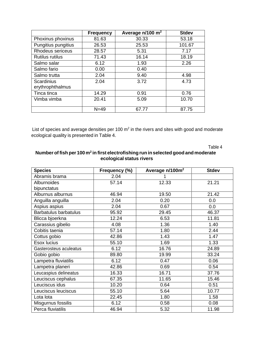|                                       | <b>Frequency</b> | Average n/100 m <sup>2</sup> | <b>Stdev</b> |
|---------------------------------------|------------------|------------------------------|--------------|
| Phoxinus phoxinus                     | 81.63            | 30.33                        | 53.18        |
| Pungitius pungitius                   | 26.53            | 25.53                        | 101.67       |
| Rhodeus sericeus                      | 28.57            | 5.31                         | 7.17         |
| <b>Rutilus rutilus</b>                | 71.43            | 16.14                        | 18.19        |
| Salmo salar                           | 6.12             | 1.93                         | 2.26         |
| Salmo fario                           | 0.00             | 0.40                         |              |
| Salmo trutta                          | 2.04             | 9.40                         | 4.98         |
| <b>Scardinius</b><br>erythrophthalmus | 2.04             | 3.72                         | 4.73         |
| Tinca tinca                           | 14.29            | 0.91                         | 0.76         |
| Vimba vimba                           | 20.41            | 5.09                         | 10.70        |
|                                       | $N=49$           | 67.77                        | 87.75        |

List of species and average densities per 100  $m^2$  in the rivers and sites with good and moderate ecological quality is presented in Table 4.

Table 4

### **Number of fish per 100 m<sup>2</sup> in first electrofishing run inselected goodand moderate ecological status rivers**

| <b>Species</b>               | Frequency (%) | Average n/100m <sup>2</sup> | <b>Stdev</b> |
|------------------------------|---------------|-----------------------------|--------------|
| Abramis brama                | 2.04          |                             |              |
| Alburnoides                  | 57.14         | 12.33                       | 21.21        |
| bipunctatus                  |               |                             |              |
| Alburnus alburnus            | 46.94         | 19.50                       | 21.42        |
| Anguilla anguilla            | 2.04          | 0.20                        | 0.0          |
| Aspius aspius                | 2.04          | 0.67                        | 0.0          |
| <b>Barbatulus barbatulus</b> | 95.92         | 29.45                       | 46.37        |
| Blicca bjoerkna              | 12.24         | 6.53                        | 11.81        |
| Carassius gibelio            | 4.08          | 1.36                        | 1.40         |
| Cobitis taenia               | 57.14         | 1.80                        | 2.44         |
| Cottus gobio                 | 42.86         | 1.43                        | 1.47         |
| Esox lucius                  | 55.10         | 1.69                        | 1.33         |
| Gasterosteus aculeatus       | 6.12          | 16.76                       | 24.89        |
| Gobio gobio                  | 89.80         | 19.99                       | 33.24        |
| Lampetra fluviatilis         | 6.12          | 0.47                        | 0.06         |
| Lampetra planeri             | 42.86         | 0.69                        | 0.54         |
| Leucaspius delineatus        | 16.33         | 16.71                       | 37.76        |
| Leuciscus cephalus           | 67.35         | 11.65                       | 15.46        |
| Leuciscus idus               | 10.20         | 0.64                        | 0.51         |
| Leuciscus leuciscus          | 55.10         | 5.64                        | 10.77        |
| Lota lota                    | 22.45         | 1.80                        | 1.58         |
| Misgurnus fossilis           | 6.12          | 0.58                        | 0.08         |
| Perca fluviatilis            | 46.94         | 5.32                        | 11.98        |